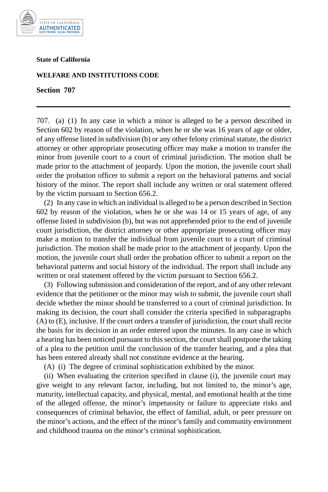

## **State of California**

## **WELFARE AND INSTITUTIONS CODE**

**Section 707** 

707. (a) (1) In any case in which a minor is alleged to be a person described in Section 602 by reason of the violation, when he or she was 16 years of age or older, of any offense listed in subdivision (b) or any other felony criminal statute, the district attorney or other appropriate prosecuting officer may make a motion to transfer the minor from juvenile court to a court of criminal jurisdiction. The motion shall be made prior to the attachment of jeopardy. Upon the motion, the juvenile court shall order the probation officer to submit a report on the behavioral patterns and social history of the minor. The report shall include any written or oral statement offered by the victim pursuant to Section 656.2.

(2) In any case in which an individual is alleged to be a person described in Section 602 by reason of the violation, when he or she was 14 or 15 years of age, of any offense listed in subdivision (b), but was not apprehended prior to the end of juvenile court jurisdiction, the district attorney or other appropriate prosecuting officer may make a motion to transfer the individual from juvenile court to a court of criminal jurisdiction. The motion shall be made prior to the attachment of jeopardy. Upon the motion, the juvenile court shall order the probation officer to submit a report on the behavioral patterns and social history of the individual. The report shall include any written or oral statement offered by the victim pursuant to Section 656.2.

(3) Following submission and consideration of the report, and of any other relevant evidence that the petitioner or the minor may wish to submit, the juvenile court shall decide whether the minor should be transferred to a court of criminal jurisdiction. In making its decision, the court shall consider the criteria specified in subparagraphs (A) to (E), inclusive. If the court orders a transfer of jurisdiction, the court shall recite the basis for its decision in an order entered upon the minutes. In any case in which a hearing has been noticed pursuant to this section, the court shall postpone the taking of a plea to the petition until the conclusion of the transfer hearing, and a plea that has been entered already shall not constitute evidence at the hearing.

(A) (i) The degree of criminal sophistication exhibited by the minor.

(ii) When evaluating the criterion specified in clause (i), the juvenile court may give weight to any relevant factor, including, but not limited to, the minor's age, maturity, intellectual capacity, and physical, mental, and emotional health at the time of the alleged offense, the minor's impetuosity or failure to appreciate risks and consequences of criminal behavior, the effect of familial, adult, or peer pressure on the minor's actions, and the effect of the minor's family and community environment and childhood trauma on the minor's criminal sophistication.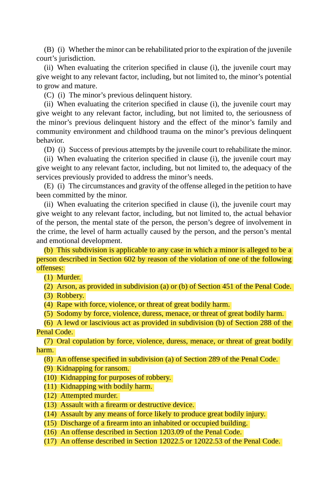(B) (i) Whether the minor can be rehabilitated prior to the expiration of the juvenile court's jurisdiction.

(ii) When evaluating the criterion specified in clause (i), the juvenile court may give weight to any relevant factor, including, but not limited to, the minor's potential to grow and mature.

(C) (i) The minor's previous delinquent history.

(ii) When evaluating the criterion specified in clause (i), the juvenile court may give weight to any relevant factor, including, but not limited to, the seriousness of the minor's previous delinquent history and the effect of the minor's family and community environment and childhood trauma on the minor's previous delinquent behavior.

(D) (i) Success of previous attempts by the juvenile court to rehabilitate the minor.

(ii) When evaluating the criterion specified in clause (i), the juvenile court may give weight to any relevant factor, including, but not limited to, the adequacy of the services previously provided to address the minor's needs.

(E) (i) The circumstances and gravity of the offense alleged in the petition to have been committed by the minor.

(ii) When evaluating the criterion specified in clause (i), the juvenile court may give weight to any relevant factor, including, but not limited to, the actual behavior of the person, the mental state of the person, the person's degree of involvement in the crime, the level of harm actually caused by the person, and the person's mental and emotional development.

(b) This subdivision is applicable to any case in which a minor is alleged to be a person described in Section 602 by reason of the violation of one of the following offenses:

(1) Murder.

(2) Arson, as provided in subdivision (a) or (b) of Section 451 of the Penal Code.

(3) Robbery.

(4) Rape with force, violence, or threat of great bodily harm.

(5) Sodomy by force, violence, duress, menace, or threat of great bodily harm.

(6) A lewd or lascivious act as provided in subdivision (b) of Section 288 of the Penal Code.

(7) Oral copulation by force, violence, duress, menace, or threat of great bodily harm.

(8) An offense specified in subdivision (a) of Section 289 of the Penal Code.

(9) Kidnapping for ransom.

(10) Kidnapping for purposes of robbery.

(11) Kidnapping with bodily harm.

(12) Attempted murder.

(13) Assault with a firearm or destructive device.

(14) Assault by any means of force likely to produce great bodily injury.

(15) Discharge of a firearm into an inhabited or occupied building.

(16) An offense described in Section 1203.09 of the Penal Code.

(17) An offense described in Section 12022.5 or 12022.53 of the Penal Code.